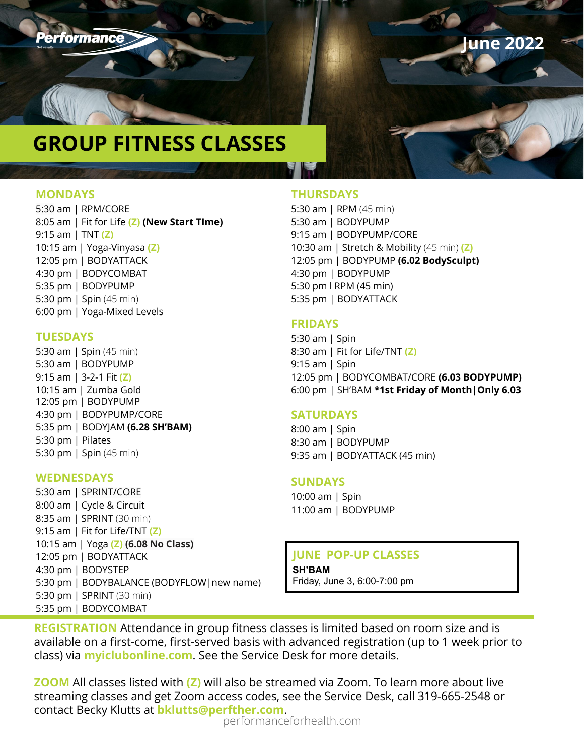

**June 2022**

# **GROUP FITNESS CLASSES**

### **MONDAYS**

5:30 am | RPM/CORE 8:05 am | Fit for Life **(Z) (New Start TIme)** 9:15 am | TNT **(Z)** 10:15 am | Yoga-Vinyasa **(Z)** 12:05 pm | BODYATTACK 4:30 pm | BODYCOMBAT 5:35 pm | BODYPUMP 5:30 pm | Spin (45 min) 6:00 pm | Yoga-Mixed Levels

### **TUESDAYS**

5:30 am | Spin (45 min) 5:30 am | BODYPUMP 9:15 am | 3-2-1 Fit **(Z)** 10:15 am | Zumba Gold 12:05 pm | BODYPUMP 4:30 pm | BODYPUMP/CORE 5:35 pm | BODYJAM **(6.28 SH'BAM)** 5:30 pm | Pilates 5:30 pm | Spin (45 min)

## **WEDNESDAYS**

5:30 am | SPRINT/CORE 8:00 am | Cycle & Circuit 8:35 am | SPRINT (30 min) 9:15 am | Fit for Life/TNT **(Z)** 10:15 am | Yoga **(Z) (6.08 No Class)** 12:05 pm | BODYATTACK 4:30 pm | BODYSTEP 5:30 pm | BODYBALANCE (BODYFLOW|new name) 5:30 pm | SPRINT (30 min) 5:35 pm | BODYCOMBAT

### **THURSDAYS**

5:30 am | RPM (45 min) 5:30 am | BODYPUMP 9:15 am | BODYPUMP/CORE 10:30 am | Stretch & Mobility (45 min) **(Z)**  12:05 pm | BODYPUMP **(6.02 BodySculpt)** 4:30 pm | BODYPUMP 5:30 pm l RPM (45 min) 5:35 pm | BODYATTACK

### **FRIDAYS**

5:30 am | Spin 8:30 am | Fit for Life/TNT **(Z)**  9:15 am | Spin 12:05 pm | BODYCOMBAT/CORE **(6.03 BODYPUMP)** 6:00 pm | SH'BAM **\*1st Friday of Month|Only 6.03**

# **SATURDAYS**

8:00 am | Spin 8:30 am | BODYPUMP 9:35 am | BODYATTACK (45 min)

### **SUNDAYS**

10:00 am | Spin 11:00 am | BODYPUMP

# **JUNE POP-UP CLASSES**

**SH'BAM**  Friday, June 3, 6:00-7:00 pm

**REGISTRATION** Attendance in group fitness classes is limited based on room size and is available on a first-come, first-served basis with advanced registration (up to 1 week prior to class) via **myiclubonline.com**. See the Service Desk for more details.

**ZOOM** All classes listed with **(Z)** will also be streamed via Zoom. To learn more about live streaming classes and get Zoom access codes, see the Service Desk, call 319-665-2548 or contact Becky Klutts at **bklutts@perfther.com**.